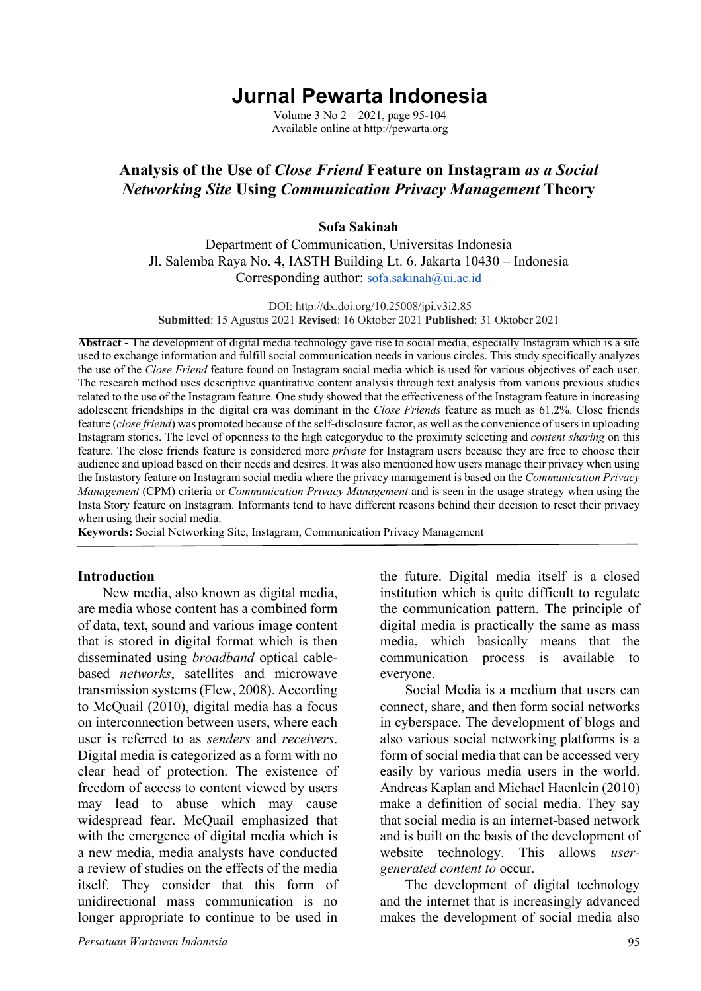# **Jurnal Pewarta Indonesia**

Volume 3 No 2 – 2021, page 95-104 Available online at http://pewarta.org

# **Analysis of the Use of** *Close Friend* **Feature on Instagram** *as a Social Networking Site* **Using** *Communication Privacy Management* **Theory**

#### **Sofa Sakinah**

Department of Communication, Universitas Indonesia Jl. Salemba Raya No. 4, IASTH Building Lt. 6. Jakarta 10430 – Indonesia Corresponding author: sofa.sakinah@ui.ac.id

DOI: http://dx.doi.org/10.25008/jpi.v3i2.85 **Submitted**: 15 Agustus 2021 **Revised**: 16 Oktober 2021 **Published**: 31 Oktober 2021

**Abstract -** The development of digital media technology gave rise to social media, especially Instagram which is a site used to exchange information and fulfill social communication needs in various circles. This study specifically analyzes the use of the *Close Friend* feature found on Instagram social media which is used for various objectives of each user. The research method uses descriptive quantitative content analysis through text analysis from various previous studies related to the use of the Instagram feature. One study showed that the effectiveness of the Instagram feature in increasing adolescent friendships in the digital era was dominant in the *Close Friends* feature as much as 61.2%. Close friends feature (*close friend*) was promoted because of the self-disclosure factor, as well as the convenience of users in uploading Instagram stories. The level of openness to the high categorydue to the proximity selecting and *content sharing* on this feature. The close friends feature is considered more *private* for Instagram users because they are free to choose their audience and upload based on their needs and desires. It was also mentioned how users manage their privacy when using the Instastory feature on Instagram social media where the privacy management is based on the *Communication Privacy Management* (CPM) criteria or *Communication Privacy Management* and is seen in the usage strategy when using the Insta Story feature on Instagram. Informants tend to have different reasons behind their decision to reset their privacy when using their social media.

**Keywords:** Social Networking Site, Instagram, Communication Privacy Management

#### **Introduction**

New media, also known as digital media, are media whose content has a combined form of data, text, sound and various image content that is stored in digital format which is then disseminated using *broadband* optical cablebased *networks*, satellites and microwave transmission systems (Flew, 2008). According to McQuail (2010), digital media has a focus on interconnection between users, where each user is referred to as *senders* and *receivers*. Digital media is categorized as a form with no clear head of protection. The existence of freedom of access to content viewed by users may lead to abuse which may cause widespread fear. McQuail emphasized that with the emergence of digital media which is a new media, media analysts have conducted a review of studies on the effects of the media itself. They consider that this form of unidirectional mass communication is no longer appropriate to continue to be used in

the future. Digital media itself is a closed institution which is quite difficult to regulate the communication pattern. The principle of digital media is practically the same as mass media, which basically means that the communication process is available to everyone.

Social Media is a medium that users can connect, share, and then form social networks in cyberspace. The development of blogs and also various social networking platforms is a form of social media that can be accessed very easily by various media users in the world. Andreas Kaplan and Michael Haenlein (2010) make a definition of social media. They say that social media is an internet-based network and is built on the basis of the development of website technology. This allows *usergenerated content to* occur.

The development of digital technology and the internet that is increasingly advanced makes the development of social media also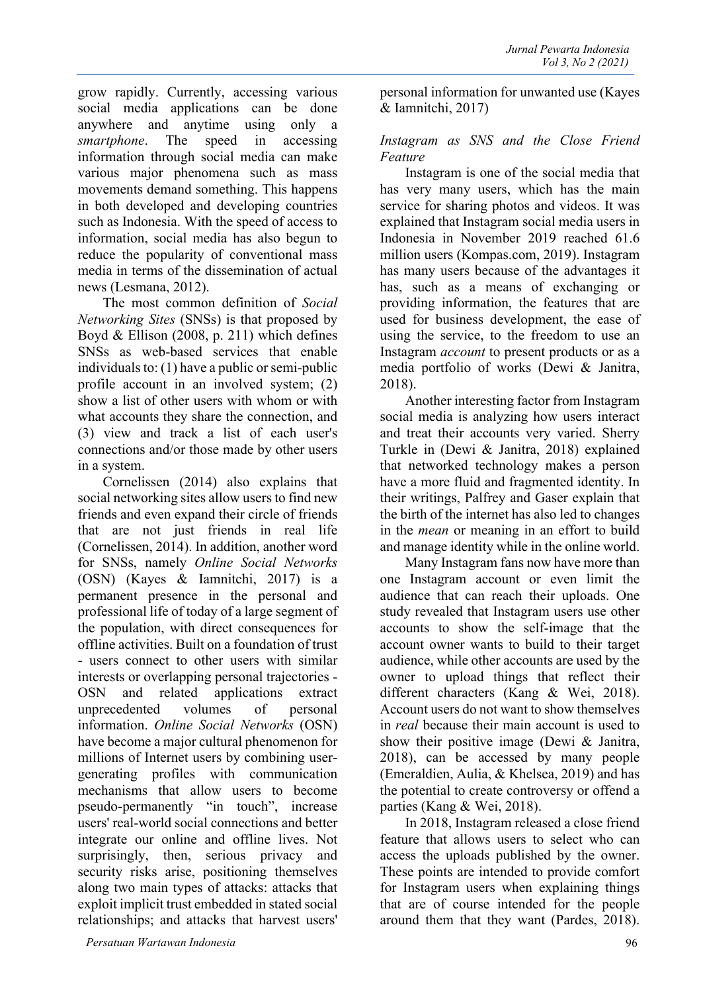grow rapidly. Currently, accessing various social media applications can be done anywhere and anytime using only a *smartphone*. The speed in accessing information through social media can make various major phenomena such as mass movements demand something. This happens in both developed and developing countries such as Indonesia. With the speed of access to information, social media has also begun to reduce the popularity of conventional mass media in terms of the dissemination of actual news (Lesmana, 2012).

The most common definition of *Social Networking Sites* (SNSs) is that proposed by Boyd & Ellison (2008, p. 211) which defines SNSs as web-based services that enable individuals to: (1) have a public or semi-public profile account in an involved system; (2) show a list of other users with whom or with what accounts they share the connection, and (3) view and track a list of each user's connections and/or those made by other users in a system.

Cornelissen (2014) also explains that social networking sites allow users to find new friends and even expand their circle of friends that are not just friends in real life (Cornelissen, 2014). In addition, another word for SNSs, namely *Online Social Networks*  (OSN) (Kayes & Iamnitchi, 2017) is a permanent presence in the personal and professional life of today of a large segment of the population, with direct consequences for offline activities. Built on a foundation of trust - users connect to other users with similar interests or overlapping personal trajectories - OSN and related applications extract unprecedented volumes of personal information. *Online Social Networks* (OSN) have become a major cultural phenomenon for millions of Internet users by combining usergenerating profiles with communication mechanisms that allow users to become pseudo-permanently "in touch", increase users' real-world social connections and better integrate our online and offline lives. Not surprisingly, then, serious privacy and security risks arise, positioning themselves along two main types of attacks: attacks that exploit implicit trust embedded in stated social relationships; and attacks that harvest users'

personal information for unwanted use (Kayes & Iamnitchi, 2017)

## *Instagram as SNS and the Close Friend Feature*

Instagram is one of the social media that has very many users, which has the main service for sharing photos and videos. It was explained that Instagram social media users in Indonesia in November 2019 reached 61.6 million users (Kompas.com, 2019). Instagram has many users because of the advantages it has, such as a means of exchanging or providing information, the features that are used for business development, the ease of using the service, to the freedom to use an Instagram *account* to present products or as a media portfolio of works (Dewi & Janitra, 2018).

Another interesting factor from Instagram social media is analyzing how users interact and treat their accounts very varied. Sherry Turkle in (Dewi & Janitra, 2018) explained that networked technology makes a person have a more fluid and fragmented identity. In their writings, Palfrey and Gaser explain that the birth of the internet has also led to changes in the *mean* or meaning in an effort to build and manage identity while in the online world.

Many Instagram fans now have more than one Instagram account or even limit the audience that can reach their uploads. One study revealed that Instagram users use other accounts to show the self-image that the account owner wants to build to their target audience, while other accounts are used by the owner to upload things that reflect their different characters (Kang & Wei, 2018). Account users do not want to show themselves in *real* because their main account is used to show their positive image (Dewi & Janitra, 2018), can be accessed by many people (Emeraldien, Aulia, & Khelsea, 2019) and has the potential to create controversy or offend a parties (Kang & Wei, 2018).

In 2018, Instagram released a close friend feature that allows users to select who can access the uploads published by the owner. These points are intended to provide comfort for Instagram users when explaining things that are of course intended for the people around them that they want (Pardes, 2018).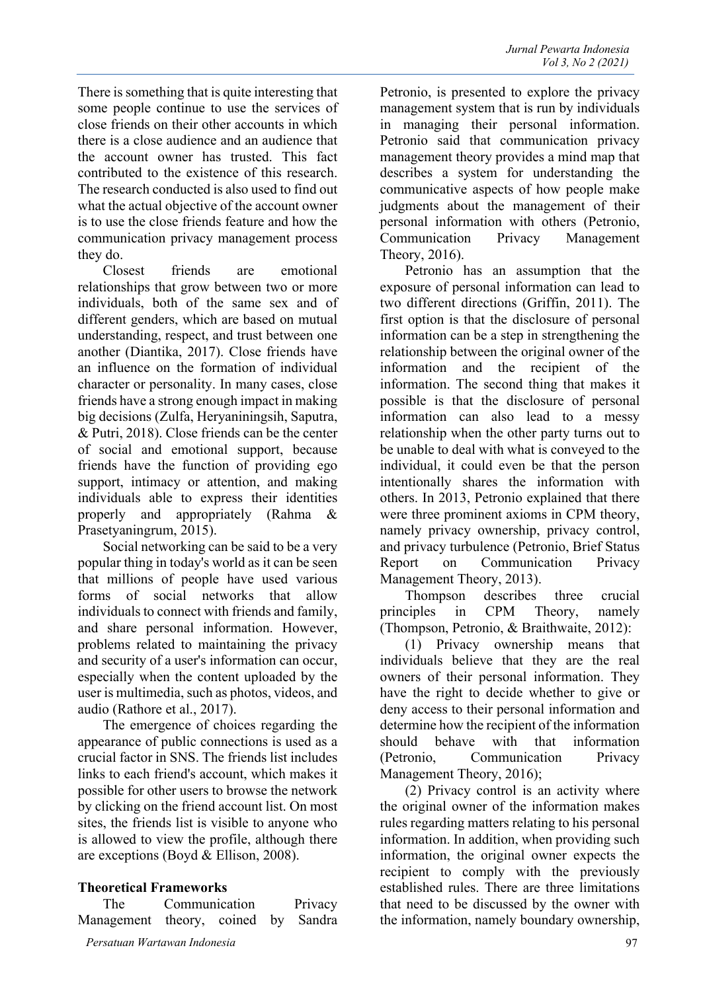There is something that is quite interesting that some people continue to use the services of close friends on their other accounts in which there is a close audience and an audience that the account owner has trusted. This fact contributed to the existence of this research. The research conducted is also used to find out what the actual objective of the account owner is to use the close friends feature and how the communication privacy management process they do.

Closest friends are emotional relationships that grow between two or more individuals, both of the same sex and of different genders, which are based on mutual understanding, respect, and trust between one another (Diantika, 2017). Close friends have an influence on the formation of individual character or personality. In many cases, close friends have a strong enough impact in making big decisions (Zulfa, Heryaniningsih, Saputra, & Putri, 2018). Close friends can be the center of social and emotional support, because friends have the function of providing ego support, intimacy or attention, and making individuals able to express their identities properly and appropriately (Rahma & Prasetyaningrum, 2015).

Social networking can be said to be a very popular thing in today's world as it can be seen that millions of people have used various forms of social networks that allow individuals to connect with friends and family, and share personal information. However, problems related to maintaining the privacy and security of a user's information can occur, especially when the content uploaded by the user is multimedia, such as photos, videos, and audio (Rathore et al., 2017).

The emergence of choices regarding the appearance of public connections is used as a crucial factor in SNS. The friends list includes links to each friend's account, which makes it possible for other users to browse the network by clicking on the friend account list. On most sites, the friends list is visible to anyone who is allowed to view the profile, although there are exceptions (Boyd & Ellison, 2008).

#### **Theoretical Frameworks**

| The                                 | Communication |  | Privacy |  |
|-------------------------------------|---------------|--|---------|--|
| Management theory, coined by Sandra |               |  |         |  |
| Persatuan Wartawan Indonesia        |               |  |         |  |

Petronio, is presented to explore the privacy management system that is run by individuals in managing their personal information. Petronio said that communication privacy management theory provides a mind map that describes a system for understanding the communicative aspects of how people make judgments about the management of their personal information with others (Petronio, Communication Privacy Management Theory, 2016).

Petronio has an assumption that the exposure of personal information can lead to two different directions (Griffin, 2011). The first option is that the disclosure of personal information can be a step in strengthening the relationship between the original owner of the information and the recipient of the information. The second thing that makes it possible is that the disclosure of personal information can also lead to a messy relationship when the other party turns out to be unable to deal with what is conveyed to the individual, it could even be that the person intentionally shares the information with others. In 2013, Petronio explained that there were three prominent axioms in CPM theory, namely privacy ownership, privacy control, and privacy turbulence (Petronio, Brief Status Report on Communication Privacy Management Theory, 2013).

Thompson describes three crucial principles in CPM Theory, namely (Thompson, Petronio, & Braithwaite, 2012):

(1) Privacy ownership means that individuals believe that they are the real owners of their personal information. They have the right to decide whether to give or deny access to their personal information and determine how the recipient of the information should behave with that information (Petronio, Communication Privacy Management Theory, 2016);

(2) Privacy control is an activity where the original owner of the information makes rules regarding matters relating to his personal information. In addition, when providing such information, the original owner expects the recipient to comply with the previously established rules. There are three limitations that need to be discussed by the owner with the information, namely boundary ownership,

97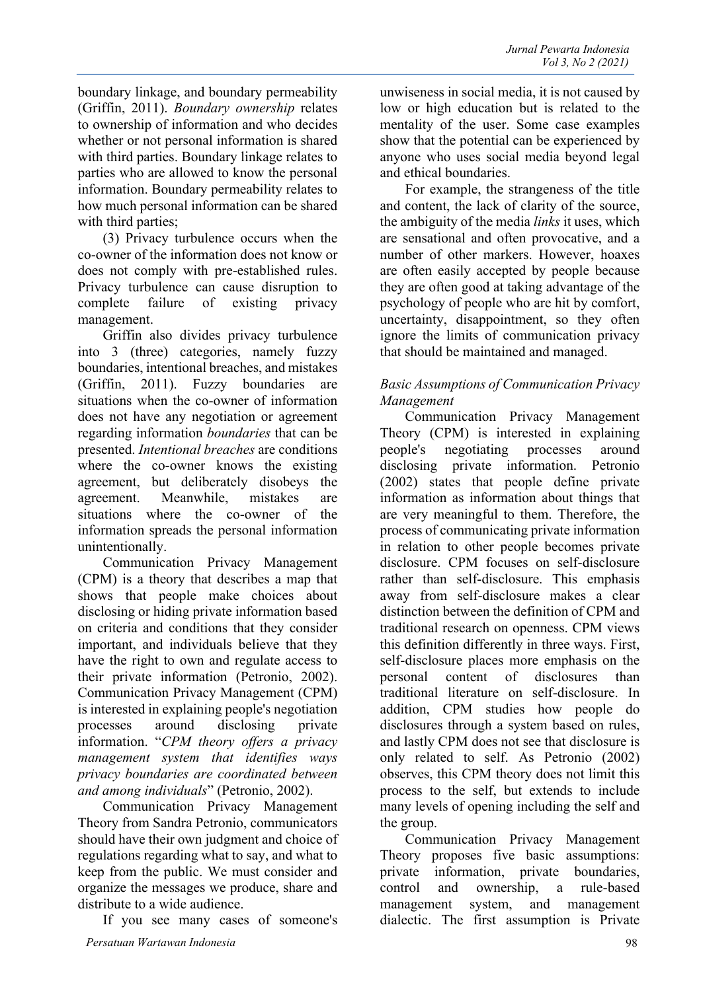boundary linkage, and boundary permeability (Griffin, 2011). *Boundary ownership* relates to ownership of information and who decides whether or not personal information is shared with third parties. Boundary linkage relates to parties who are allowed to know the personal information. Boundary permeability relates to how much personal information can be shared with third parties;

(3) Privacy turbulence occurs when the co-owner of the information does not know or does not comply with pre-established rules. Privacy turbulence can cause disruption to complete failure of existing privacy management.

Griffin also divides privacy turbulence into 3 (three) categories, namely fuzzy boundaries, intentional breaches, and mistakes (Griffin, 2011). Fuzzy boundaries are situations when the co-owner of information does not have any negotiation or agreement regarding information *boundaries* that can be presented. *Intentional breaches* are conditions where the co-owner knows the existing agreement, but deliberately disobeys the agreement. Meanwhile, mistakes are situations where the co-owner of the information spreads the personal information unintentionally.

Communication Privacy Management (CPM) is a theory that describes a map that shows that people make choices about disclosing or hiding private information based on criteria and conditions that they consider important, and individuals believe that they have the right to own and regulate access to their private information (Petronio, 2002). Communication Privacy Management (CPM) is interested in explaining people's negotiation processes around disclosing private information. "*CPM theory offers a privacy management system that identifies ways privacy boundaries are coordinated between and among individuals*" (Petronio, 2002).

Communication Privacy Management Theory from Sandra Petronio, communicators should have their own judgment and choice of regulations regarding what to say, and what to keep from the public. We must consider and organize the messages we produce, share and distribute to a wide audience.

If you see many cases of someone's

unwiseness in social media, it is not caused by low or high education but is related to the mentality of the user. Some case examples show that the potential can be experienced by anyone who uses social media beyond legal and ethical boundaries.

For example, the strangeness of the title and content, the lack of clarity of the source, the ambiguity of the media *links* it uses, which are sensational and often provocative, and a number of other markers. However, hoaxes are often easily accepted by people because they are often good at taking advantage of the psychology of people who are hit by comfort, uncertainty, disappointment, so they often ignore the limits of communication privacy that should be maintained and managed.

## *Basic Assumptions of Communication Privacy Management*

Communication Privacy Management Theory (CPM) is interested in explaining people's negotiating processes around disclosing private information. Petronio (2002) states that people define private information as information about things that are very meaningful to them. Therefore, the process of communicating private information in relation to other people becomes private disclosure. CPM focuses on self-disclosure rather than self-disclosure. This emphasis away from self-disclosure makes a clear distinction between the definition of CPM and traditional research on openness. CPM views this definition differently in three ways. First, self-disclosure places more emphasis on the personal content of disclosures than traditional literature on self-disclosure. In addition, CPM studies how people do disclosures through a system based on rules, and lastly CPM does not see that disclosure is only related to self. As Petronio (2002) observes, this CPM theory does not limit this process to the self, but extends to include many levels of opening including the self and the group.

Communication Privacy Management Theory proposes five basic assumptions: private information, private boundaries, control and ownership, a rule-based management system, and management dialectic. The first assumption is Private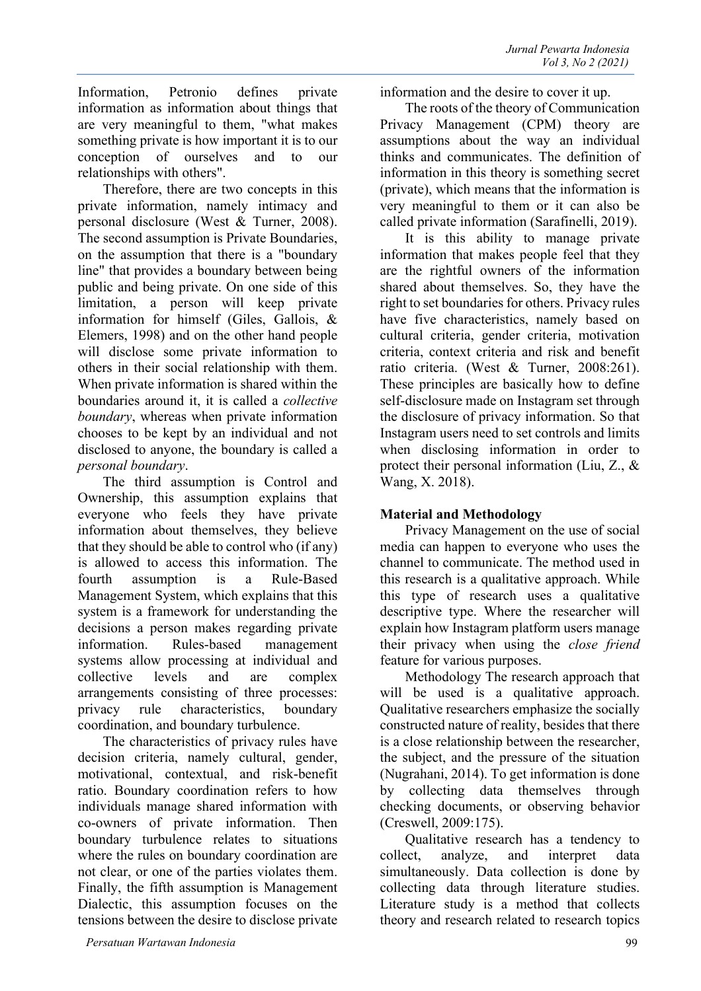Therefore, there are two concepts in this private information, namely intimacy and personal disclosure (West & Turner, 2008). The second assumption is Private Boundaries, on the assumption that there is a "boundary line" that provides a boundary between being public and being private. On one side of this limitation, a person will keep private information for himself (Giles, Gallois, & Elemers, 1998) and on the other hand people will disclose some private information to others in their social relationship with them. When private information is shared within the boundaries around it, it is called a *collective boundary*, whereas when private information chooses to be kept by an individual and not disclosed to anyone, the boundary is called a *personal boundary*.

The third assumption is Control and Ownership, this assumption explains that everyone who feels they have private information about themselves, they believe that they should be able to control who (if any) is allowed to access this information. The fourth assumption is a Rule-Based Management System, which explains that this system is a framework for understanding the decisions a person makes regarding private information. Rules-based management systems allow processing at individual and collective levels and are complex arrangements consisting of three processes: privacy rule characteristics, boundary coordination, and boundary turbulence.

The characteristics of privacy rules have decision criteria, namely cultural, gender, motivational, contextual, and risk-benefit ratio. Boundary coordination refers to how individuals manage shared information with co-owners of private information. Then boundary turbulence relates to situations where the rules on boundary coordination are not clear, or one of the parties violates them. Finally, the fifth assumption is Management Dialectic, this assumption focuses on the tensions between the desire to disclose private

information and the desire to cover it up.

The roots of the theory of Communication Privacy Management (CPM) theory are assumptions about the way an individual thinks and communicates. The definition of information in this theory is something secret (private), which means that the information is very meaningful to them or it can also be called private information (Sarafinelli, 2019).

It is this ability to manage private information that makes people feel that they are the rightful owners of the information shared about themselves. So, they have the right to set boundaries for others. Privacy rules have five characteristics, namely based on cultural criteria, gender criteria, motivation criteria, context criteria and risk and benefit ratio criteria. (West & Turner, 2008:261). These principles are basically how to define self-disclosure made on Instagram set through the disclosure of privacy information. So that Instagram users need to set controls and limits when disclosing information in order to protect their personal information (Liu, Z., & Wang, X. 2018).

#### **Material and Methodology**

Privacy Management on the use of social media can happen to everyone who uses the channel to communicate. The method used in this research is a qualitative approach. While this type of research uses a qualitative descriptive type. Where the researcher will explain how Instagram platform users manage their privacy when using the *close friend*  feature for various purposes.

Methodology The research approach that will be used is a qualitative approach. Qualitative researchers emphasize the socially constructed nature of reality, besides that there is a close relationship between the researcher, the subject, and the pressure of the situation (Nugrahani, 2014). To get information is done by collecting data themselves through checking documents, or observing behavior (Creswell, 2009:175).

Qualitative research has a tendency to collect, analyze, and interpret data simultaneously. Data collection is done by collecting data through literature studies. Literature study is a method that collects theory and research related to research topics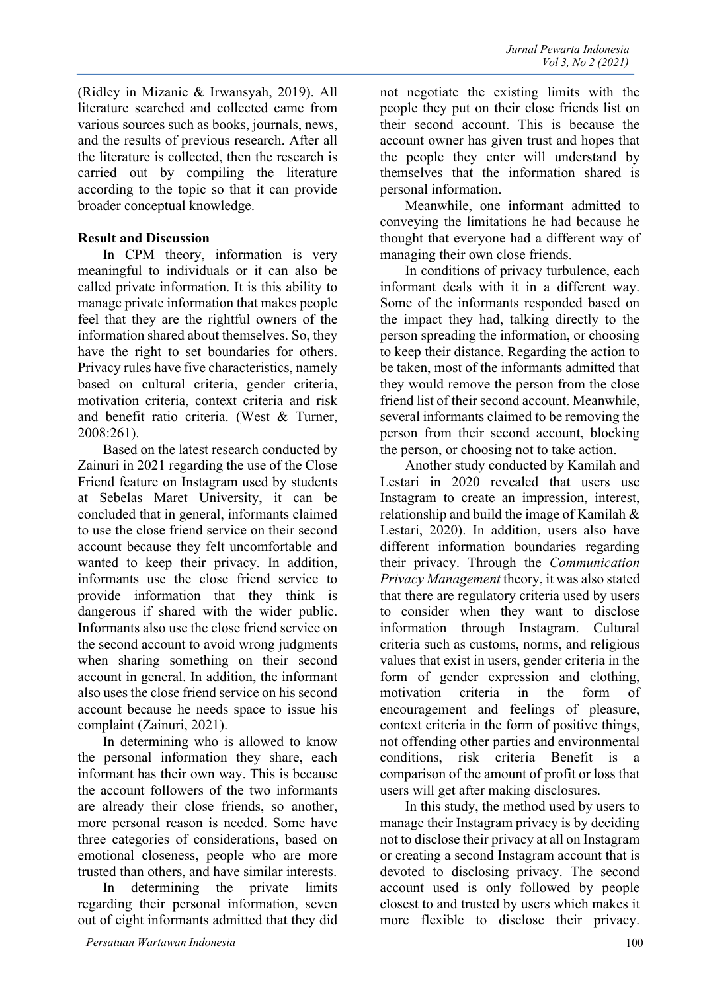(Ridley in Mizanie & Irwansyah, 2019). All literature searched and collected came from various sources such as books, journals, news, and the results of previous research. After all the literature is collected, then the research is carried out by compiling the literature according to the topic so that it can provide broader conceptual knowledge.

#### **Result and Discussion**

In CPM theory, information is very meaningful to individuals or it can also be called private information. It is this ability to manage private information that makes people feel that they are the rightful owners of the information shared about themselves. So, they have the right to set boundaries for others. Privacy rules have five characteristics, namely based on cultural criteria, gender criteria, motivation criteria, context criteria and risk and benefit ratio criteria. (West & Turner, 2008:261).

Based on the latest research conducted by Zainuri in 2021 regarding the use of the Close Friend feature on Instagram used by students at Sebelas Maret University, it can be concluded that in general, informants claimed to use the close friend service on their second account because they felt uncomfortable and wanted to keep their privacy. In addition, informants use the close friend service to provide information that they think is dangerous if shared with the wider public. Informants also use the close friend service on the second account to avoid wrong judgments when sharing something on their second account in general. In addition, the informant also uses the close friend service on his second account because he needs space to issue his complaint (Zainuri, 2021).

In determining who is allowed to know the personal information they share, each informant has their own way. This is because the account followers of the two informants are already their close friends, so another, more personal reason is needed. Some have three categories of considerations, based on emotional closeness, people who are more trusted than others, and have similar interests.

In determining the private limits regarding their personal information, seven out of eight informants admitted that they did

not negotiate the existing limits with the people they put on their close friends list on their second account. This is because the account owner has given trust and hopes that the people they enter will understand by themselves that the information shared is personal information.

Meanwhile, one informant admitted to conveying the limitations he had because he thought that everyone had a different way of managing their own close friends.

In conditions of privacy turbulence, each informant deals with it in a different way. Some of the informants responded based on the impact they had, talking directly to the person spreading the information, or choosing to keep their distance. Regarding the action to be taken, most of the informants admitted that they would remove the person from the close friend list of their second account. Meanwhile, several informants claimed to be removing the person from their second account, blocking the person, or choosing not to take action.

Another study conducted by Kamilah and Lestari in 2020 revealed that users use Instagram to create an impression, interest, relationship and build the image of Kamilah & Lestari, 2020). In addition, users also have different information boundaries regarding their privacy. Through the *Communication Privacy Management* theory, it was also stated that there are regulatory criteria used by users to consider when they want to disclose information through Instagram. Cultural criteria such as customs, norms, and religious values that exist in users, gender criteria in the form of gender expression and clothing, motivation criteria in the form of encouragement and feelings of pleasure, context criteria in the form of positive things, not offending other parties and environmental conditions, risk criteria Benefit is a comparison of the amount of profit or loss that users will get after making disclosures.

In this study, the method used by users to manage their Instagram privacy is by deciding not to disclose their privacy at all on Instagram or creating a second Instagram account that is devoted to disclosing privacy. The second account used is only followed by people closest to and trusted by users which makes it more flexible to disclose their privacy.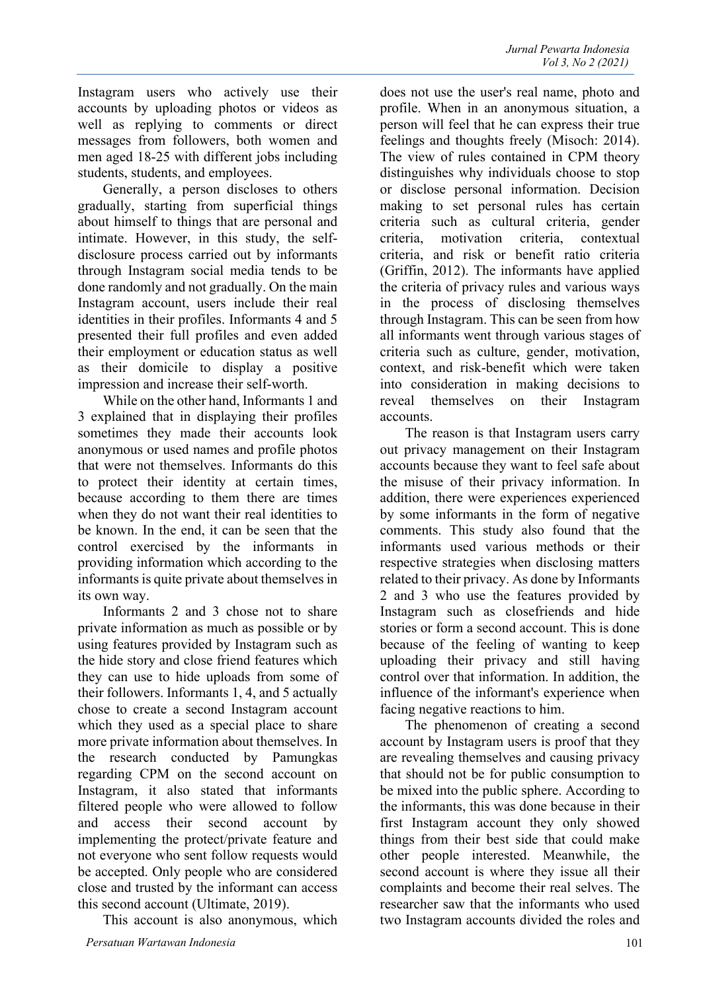Generally, a person discloses to others gradually, starting from superficial things about himself to things that are personal and intimate. However, in this study, the selfdisclosure process carried out by informants through Instagram social media tends to be done randomly and not gradually. On the main Instagram account, users include their real identities in their profiles. Informants 4 and 5 presented their full profiles and even added their employment or education status as well as their domicile to display a positive impression and increase their self-worth.

While on the other hand, Informants 1 and 3 explained that in displaying their profiles sometimes they made their accounts look anonymous or used names and profile photos that were not themselves. Informants do this to protect their identity at certain times, because according to them there are times when they do not want their real identities to be known. In the end, it can be seen that the control exercised by the informants in providing information which according to the informants is quite private about themselves in its own way.

Informants 2 and 3 chose not to share private information as much as possible or by using features provided by Instagram such as the hide story and close friend features which they can use to hide uploads from some of their followers. Informants 1, 4, and 5 actually chose to create a second Instagram account which they used as a special place to share more private information about themselves. In the research conducted by Pamungkas regarding CPM on the second account on Instagram, it also stated that informants filtered people who were allowed to follow and access their second account by implementing the protect/private feature and not everyone who sent follow requests would be accepted. Only people who are considered close and trusted by the informant can access this second account (Ultimate, 2019).

This account is also anonymous, which

does not use the user's real name, photo and profile. When in an anonymous situation, a person will feel that he can express their true feelings and thoughts freely (Misoch: 2014). The view of rules contained in CPM theory distinguishes why individuals choose to stop or disclose personal information. Decision making to set personal rules has certain criteria such as cultural criteria, gender criteria, motivation criteria, contextual criteria, and risk or benefit ratio criteria (Griffin, 2012). The informants have applied the criteria of privacy rules and various ways in the process of disclosing themselves through Instagram. This can be seen from how all informants went through various stages of criteria such as culture, gender, motivation, context, and risk-benefit which were taken into consideration in making decisions to reveal themselves on their Instagram accounts.

The reason is that Instagram users carry out privacy management on their Instagram accounts because they want to feel safe about the misuse of their privacy information. In addition, there were experiences experienced by some informants in the form of negative comments. This study also found that the informants used various methods or their respective strategies when disclosing matters related to their privacy. As done by Informants 2 and 3 who use the features provided by Instagram such as closefriends and hide stories or form a second account. This is done because of the feeling of wanting to keep uploading their privacy and still having control over that information. In addition, the influence of the informant's experience when facing negative reactions to him.

The phenomenon of creating a second account by Instagram users is proof that they are revealing themselves and causing privacy that should not be for public consumption to be mixed into the public sphere. According to the informants, this was done because in their first Instagram account they only showed things from their best side that could make other people interested. Meanwhile, the second account is where they issue all their complaints and become their real selves. The researcher saw that the informants who used two Instagram accounts divided the roles and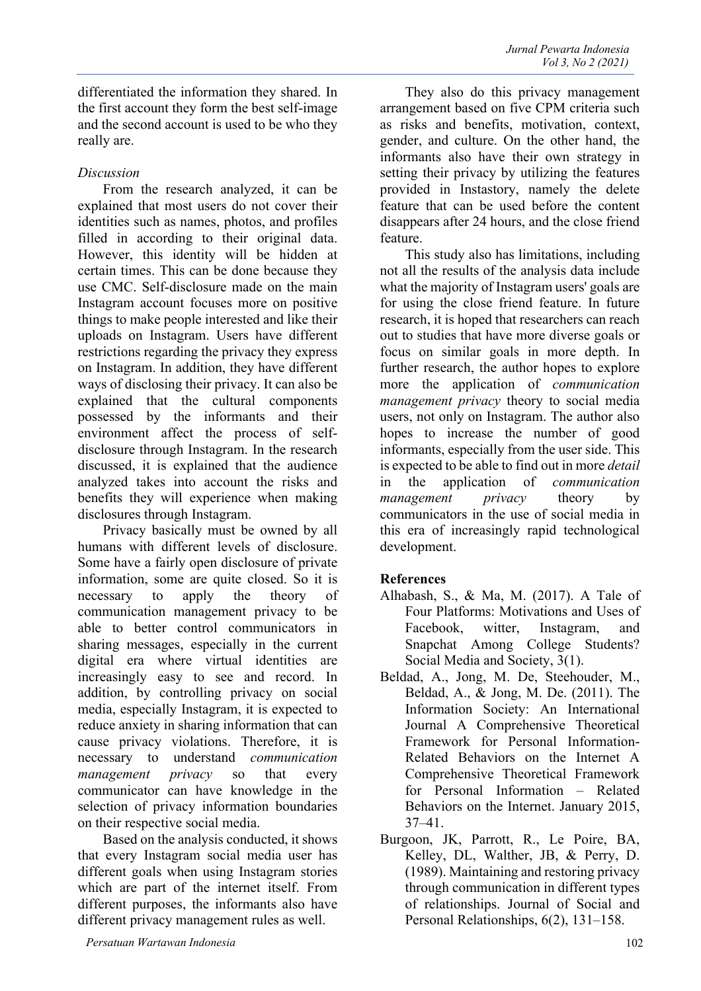differentiated the information they shared. In the first account they form the best self-image and the second account is used to be who they really are.

# *Discussion*

From the research analyzed, it can be explained that most users do not cover their identities such as names, photos, and profiles filled in according to their original data. However, this identity will be hidden at certain times. This can be done because they use CMC. Self-disclosure made on the main Instagram account focuses more on positive things to make people interested and like their uploads on Instagram. Users have different restrictions regarding the privacy they express on Instagram. In addition, they have different ways of disclosing their privacy. It can also be explained that the cultural components possessed by the informants and their environment affect the process of selfdisclosure through Instagram. In the research discussed, it is explained that the audience analyzed takes into account the risks and benefits they will experience when making disclosures through Instagram.

Privacy basically must be owned by all humans with different levels of disclosure. Some have a fairly open disclosure of private information, some are quite closed. So it is necessary to apply the theory of communication management privacy to be able to better control communicators in sharing messages, especially in the current digital era where virtual identities are increasingly easy to see and record. In addition, by controlling privacy on social media, especially Instagram, it is expected to reduce anxiety in sharing information that can cause privacy violations. Therefore, it is necessary to understand *communication management privacy* so that every communicator can have knowledge in the selection of privacy information boundaries on their respective social media.

Based on the analysis conducted, it shows that every Instagram social media user has different goals when using Instagram stories which are part of the internet itself. From different purposes, the informants also have different privacy management rules as well.

arrangement based on five CPM criteria such as risks and benefits, motivation, context, gender, and culture. On the other hand, the informants also have their own strategy in setting their privacy by utilizing the features provided in Instastory, namely the delete feature that can be used before the content disappears after 24 hours, and the close friend feature. This study also has limitations, including

They also do this privacy management

not all the results of the analysis data include what the majority of Instagram users' goals are for using the close friend feature. In future research, it is hoped that researchers can reach out to studies that have more diverse goals or focus on similar goals in more depth. In further research, the author hopes to explore more the application of *communication management privacy* theory to social media users, not only on Instagram. The author also hopes to increase the number of good informants, especially from the user side. This is expected to be able to find out in more *detail*  in the application of *communication management privacy* theory by communicators in the use of social media in this era of increasingly rapid technological development.

## **References**

- Alhabash, S., & Ma, M. (2017). A Tale of Four Platforms: Motivations and Uses of Facebook, witter, Instagram, and Snapchat Among College Students? Social Media and Society, 3(1).
- Beldad, A., Jong, M. De, Steehouder, M., Beldad, A., & Jong, M. De. (2011). The Information Society: An International Journal A Comprehensive Theoretical Framework for Personal Information-Related Behaviors on the Internet A Comprehensive Theoretical Framework for Personal Information – Related Behaviors on the Internet. January 2015, 37–41.
- Burgoon, JK, Parrott, R., Le Poire, BA, Kelley, DL, Walther, JB, & Perry, D. (1989). Maintaining and restoring privacy through communication in different types of relationships. Journal of Social and Personal Relationships, 6(2), 131–158.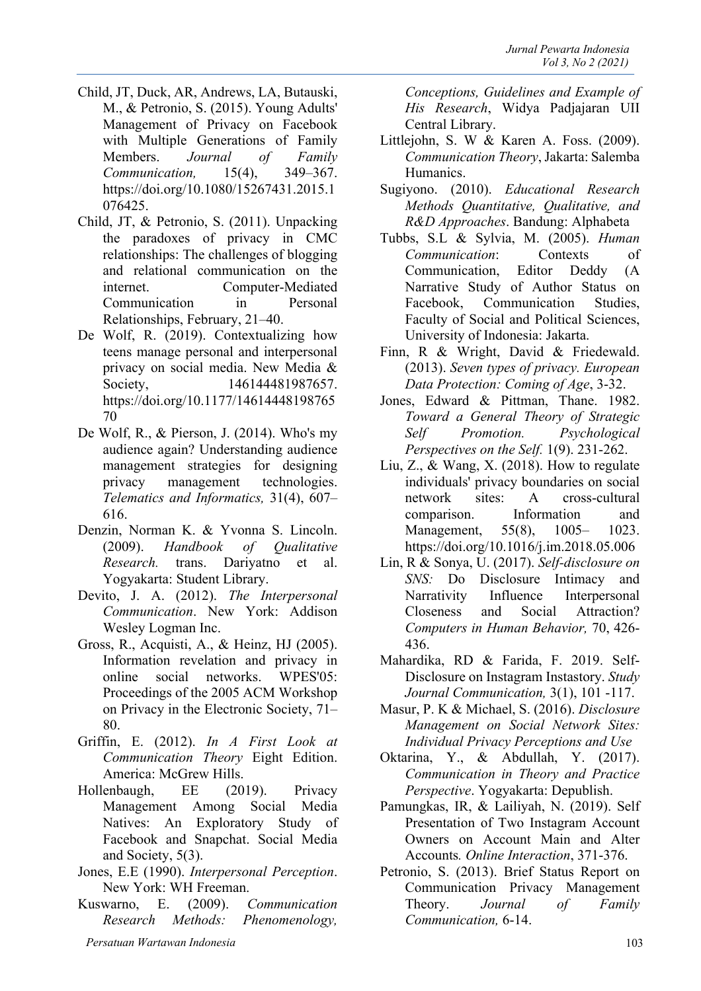- Child, JT, Duck, AR, Andrews, LA, Butauski, M., & Petronio, S. (2015). Young Adults' Management of Privacy on Facebook with Multiple Generations of Family Members. *Journal of Family Communication,* 15(4), 349–367. https://doi.org/10.1080/15267431.2015.1 076425.
- Child, JT, & Petronio, S. (2011). Unpacking the paradoxes of privacy in CMC relationships: The challenges of blogging and relational communication on the internet. Computer-Mediated Communication in Personal Relationships, February, 21–40.
- De Wolf, R. (2019). Contextualizing how teens manage personal and interpersonal privacy on social media. New Media & Society, 146144481987657. https://doi.org/10.1177/14614448198765 70
- De Wolf, R., & Pierson, J. (2014). Who's my audience again? Understanding audience management strategies for designing privacy management technologies. *Telematics and Informatics,* 31(4), 607– 616.
- Denzin, Norman K. & Yvonna S. Lincoln. (2009). *Handbook of Qualitative Research.* trans. Dariyatno et al. Yogyakarta: Student Library.
- Devito, J. A. (2012). *The Interpersonal Communication*. New York: Addison Wesley Logman Inc.
- Gross, R., Acquisti, A., & Heinz, HJ (2005). Information revelation and privacy in online social networks. WPES'05: Proceedings of the 2005 ACM Workshop on Privacy in the Electronic Society, 71– 80.
- Griffin, E. (2012). *In A First Look at Communication Theory* Eight Edition. America: McGrew Hills.
- Hollenbaugh, EE (2019). Privacy Management Among Social Media Natives: An Exploratory Study of Facebook and Snapchat. Social Media and Society, 5(3).
- Jones, E.E (1990). *Interpersonal Perception*. New York: WH Freeman.
- Kuswarno, E. (2009). *Communication Research Methods: Phenomenology,*

*Conceptions, Guidelines and Example of His Research*, Widya Padjajaran UII Central Library.

- Littlejohn, S. W & Karen A. Foss. (2009). *Communication Theory*, Jakarta: Salemba Humanics.
- Sugiyono. (2010). *Educational Research Methods Quantitative, Qualitative, and R&D Approaches*. Bandung: Alphabeta
- Tubbs, S.L & Sylvia, M. (2005). *Human Communication*: Contexts of Communication, Editor Deddy (A Narrative Study of Author Status on Facebook, Communication Studies, Faculty of Social and Political Sciences, University of Indonesia: Jakarta.
- Finn, R & Wright, David & Friedewald. (2013). *Seven types of privacy. European Data Protection: Coming of Age*, 3-32.
- Jones, Edward & Pittman, Thane. 1982. *Toward a General Theory of Strategic Self Promotion. Psychological Perspectives on the Self.* 1(9). 231-262.
- Liu, Z., & Wang, X. (2018). How to regulate individuals' privacy boundaries on social network sites: A cross-cultural comparison. Information and Management, 55(8), 1005– 1023. https://doi.org/10.1016/j.im.2018.05.006
- Lin, R & Sonya, U. (2017). *Self-disclosure on SNS:* Do Disclosure Intimacy and Narrativity Influence Interpersonal Closeness and Social Attraction? *Computers in Human Behavior,* 70, 426- 436.
- Mahardika, RD & Farida, F. 2019. Self-Disclosure on Instagram Instastory. *Study Journal Communication,* 3(1), 101 -117.
- Masur, P. K & Michael, S. (2016). *Disclosure Management on Social Network Sites: Individual Privacy Perceptions and Use*
- Oktarina, Y., & Abdullah, Y. (2017). *Communication in Theory and Practice Perspective*. Yogyakarta: Depublish.
- Pamungkas, IR, & Lailiyah, N. (2019). Self Presentation of Two Instagram Account Owners on Account Main and Alter Accounts*. Online Interaction*, 371-376.
- Petronio, S. (2013). Brief Status Report on Communication Privacy Management Theory. *Journal of Family Communication,* 6-14.